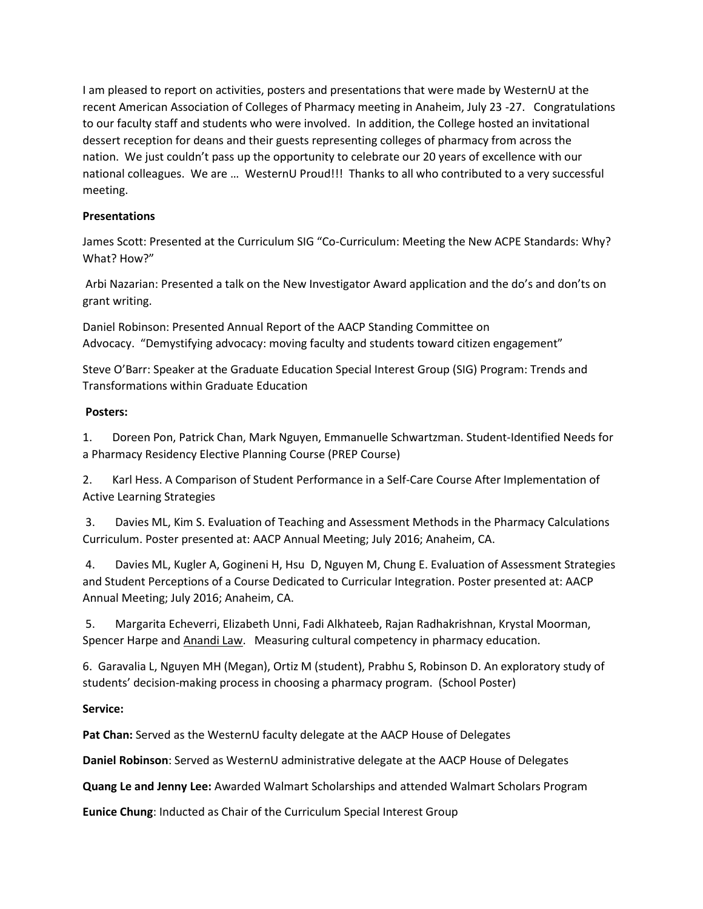I am pleased to report on activities, posters and presentations that were made by WesternU at the recent American Association of Colleges of Pharmacy meeting in Anaheim, July 23 -27. Congratulations to our faculty staff and students who were involved. In addition, the College hosted an invitational dessert reception for deans and their guests representing colleges of pharmacy from across the nation. We just couldn't pass up the opportunity to celebrate our 20 years of excellence with our national colleagues. We are … WesternU Proud!!! Thanks to all who contributed to a very successful meeting.

## **Presentations**

James Scott: Presented at the Curriculum SIG "Co-Curriculum: Meeting the New ACPE Standards: Why? What? How?"

Arbi Nazarian: Presented a talk on the New Investigator Award application and the do's and don'ts on grant writing.

Daniel Robinson: Presented Annual Report of the AACP Standing Committee on Advocacy. "Demystifying advocacy: moving faculty and students toward citizen engagement"

Steve O'Barr: Speaker at the Graduate Education Special Interest Group (SIG) Program: Trends and Transformations within Graduate Education

## **Posters:**

1. Doreen Pon, Patrick Chan, Mark Nguyen, Emmanuelle Schwartzman. Student-Identified Needs for a Pharmacy Residency Elective Planning Course (PREP Course)

2. Karl Hess. A Comparison of Student Performance in a Self-Care Course After Implementation of Active Learning Strategies

3. Davies ML, Kim S. Evaluation of Teaching and Assessment Methods in the Pharmacy Calculations Curriculum. Poster presented at: AACP Annual Meeting; July 2016; Anaheim, CA.

4. Davies ML, Kugler A, Gogineni H, Hsu D, Nguyen M, Chung E. Evaluation of Assessment Strategies and Student Perceptions of a Course Dedicated to Curricular Integration. Poster presented at: AACP Annual Meeting; July 2016; Anaheim, CA.

5. Margarita Echeverri, Elizabeth Unni, Fadi Alkhateeb, Rajan Radhakrishnan, Krystal Moorman, Spencer Harpe and Anandi Law. Measuring cultural competency in pharmacy education.

6. Garavalia L, Nguyen MH (Megan), Ortiz M (student), Prabhu S, Robinson D. An exploratory study of students' decision-making process in choosing a pharmacy program. (School Poster)

## **Service:**

**Pat Chan:** Served as the WesternU faculty delegate at the AACP House of Delegates

**Daniel Robinson**: Served as WesternU administrative delegate at the AACP House of Delegates

**Quang Le and Jenny Lee:** Awarded Walmart Scholarships and attended Walmart Scholars Program

**Eunice Chung**: Inducted as Chair of the Curriculum Special Interest Group